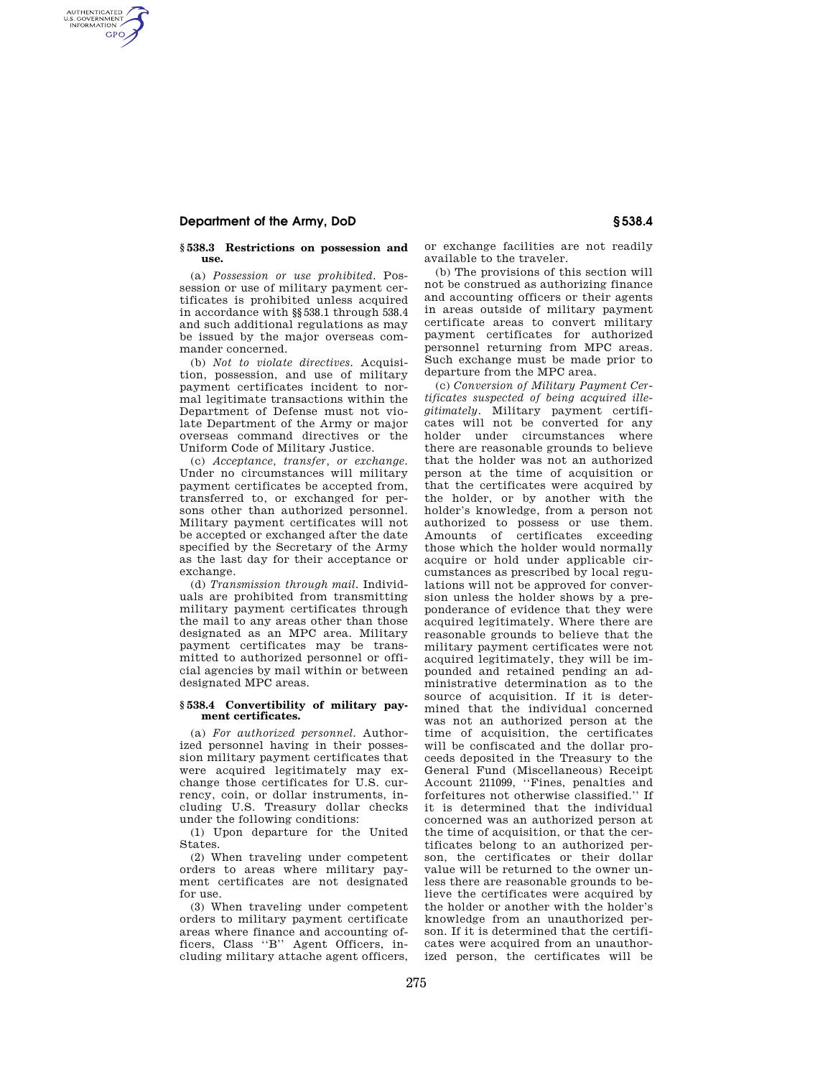## **Department of the Army, DoD § 538.4**

AUTHENTICATED<br>U.S. GOVERNMENT<br>INFORMATION **GPO** 

#### **§ 538.3 Restrictions on possession and use.**

(a) *Possession or use prohibited.* Possession or use of military payment certificates is prohibited unless acquired in accordance with §§538.1 through 538.4 and such additional regulations as may be issued by the major overseas commander concerned.

(b) *Not to violate directives.* Acquisition, possession, and use of military payment certificates incident to normal legitimate transactions within the Department of Defense must not violate Department of the Army or major overseas command directives or the Uniform Code of Military Justice.

(c) *Acceptance, transfer, or exchange.*  Under no circumstances will military payment certificates be accepted from, transferred to, or exchanged for persons other than authorized personnel. Military payment certificates will not be accepted or exchanged after the date specified by the Secretary of the Army as the last day for their acceptance or exchange.

(d) *Transmission through mail.* Individuals are prohibited from transmitting military payment certificates through the mail to any areas other than those designated as an MPC area. Military payment certificates may be transmitted to authorized personnel or official agencies by mail within or between designated MPC areas.

### **§ 538.4 Convertibility of military payment certificates.**

(a) *For authorized personnel.* Authorized personnel having in their possession military payment certificates that were acquired legitimately may exchange those certificates for U.S. currency, coin, or dollar instruments, including U.S. Treasury dollar checks under the following conditions:

(1) Upon departure for the United States.

(2) When traveling under competent orders to areas where military payment certificates are not designated for use.

(3) When traveling under competent orders to military payment certificate areas where finance and accounting officers, Class ''B'' Agent Officers, including military attache agent officers,

or exchange facilities are not readily available to the traveler.

(b) The provisions of this section will not be construed as authorizing finance and accounting officers or their agents in areas outside of military payment certificate areas to convert military payment certificates for authorized personnel returning from MPC areas. Such exchange must be made prior to departure from the MPC area.

(c) *Conversion of Military Payment Certificates suspected of being acquired illegitimately.* Military payment certificates will not be converted for any holder under circumstances where there are reasonable grounds to believe that the holder was not an authorized person at the time of acquisition or that the certificates were acquired by the holder, or by another with the holder's knowledge, from a person not authorized to possess or use them. Amounts of certificates exceeding those which the holder would normally acquire or hold under applicable circumstances as prescribed by local regulations will not be approved for conversion unless the holder shows by a preponderance of evidence that they were acquired legitimately. Where there are reasonable grounds to believe that the military payment certificates were not acquired legitimately, they will be impounded and retained pending an administrative determination as to the source of acquisition. If it is determined that the individual concerned was not an authorized person at the time of acquisition, the certificates will be confiscated and the dollar proceeds deposited in the Treasury to the General Fund (Miscellaneous) Receipt Account 211099, ''Fines, penalties and forfeitures not otherwise classified.'' If it is determined that the individual concerned was an authorized person at the time of acquisition, or that the certificates belong to an authorized person, the certificates or their dollar value will be returned to the owner unless there are reasonable grounds to believe the certificates were acquired by the holder or another with the holder's knowledge from an unauthorized person. If it is determined that the certificates were acquired from an unauthorized person, the certificates will be